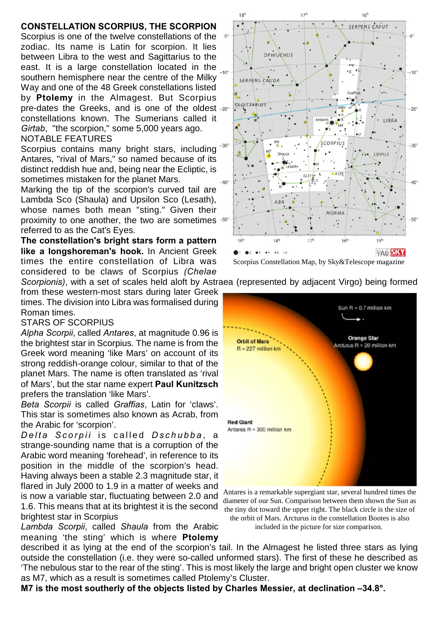## **CONSTELLATION SCORPIUS, THE SCORPION**

Scorpius is one of the twelve constellations of the zodiac. Its name is Latin for scorpion. It lies between Libra to the west and Sagittarius to the east. It is a large constellation located in the  $_{-10}$ southern hemisphere near the centre of the Milky Way and one of the 48 Greek constellations listed by **Ptolemy** in the Almagest. But Scorpius pre-dates the Greeks, and is one of the oldest -20° constellations known. The Sumerians called it *Girtab*, "the scorpion," some 5,000 years ago. NOTABLE FEATURES

Scorpius contains many bright stars, including <sup>306</sup> Antares, "rival of Mars," so named because of its distinct reddish hue and, being near the Ecliptic, is sometimes mistaken for the planet Mars.

Marking the tip of the scorpion's curved tail are Lambda Sco (Shaula) and Upsilon Sco (Lesath), whose names both mean "sting." Given their proximity to one another, the two are sometimes referred to as the Cat's Eyes.

**The constellation's bright stars form a pattern like a longshoreman's hook.** In Ancient Greek times the entire constellation of Libra was considered to be claws of Scorpius *(Chelae Scorpionis)*, with a set of scales held aloft by Astraea (represented by adjacent Virgo) being formed

from these western-most stars during later Greek times. The division into Libra was formalised during Roman times.

## STARS OF SCORPIUS

*Alpha Scorpii*, called *Antares*, at magnitude 0.96 is the brightest star in Scorpius. The name is from the Greek word meaning 'like Mars' on account of its strong reddish-orange colour, similar to that of the planet Mars. The name is often translated as 'rival of Mars', but the star name expert **Paul Kunitzsch** prefers the translation 'like Mars'.

*Beta Scorpii* is called *Graffias*, Latin for 'claws'. This star is sometimes also known as Acrab, from the Arabic for 'scorpion'.

*D e l t a S c o r p i i* i s c a l l e d *D s c h u b b a* , a strange-sounding name that is a corruption of the Arabic word meaning 'forehead', in reference to its position in the middle of the scorpion's head. Having always been a stable 2.3 magnitude star, it flared in July 2000 to 1.9 in a matter of weeks and is now a variable star, fluctuating between 2.0 and 1.6. This means that at its brightest it is the second brightest star in Scorpius

*Lambda Scorpii*, called *Shaula* from the Arabic meaning 'the sting' which is where **Ptolemy**

 $18<sup>h</sup>$  $16<sup>†</sup>$ SERPENS CAPUT  $\Omega$ OPHIUCHUS  $\mathbf{y}$  $-10^{9}$ SERPENS CAUDA  $GraB$ SAGITTARIUS  $-20^{\circ}$ LIBRA **SCORPIUS**  $-30'$ LUPUS  $-40$ NORMA  $50^\circ$  $19<sup>1</sup>$  $17<sup>1</sup>$  $16<sup>b</sup>$  $18<sup>h</sup>$  $15<sup>h</sup>$  $\bullet$  $02 03 04$  $\bullet$  5 **TAU SKY** 

Scorpius Constellation Map, by Sky&Telescope magazine

Sun  $R = 0.7$  million km **Orange Star Orbit of Mars** Arcturus R = 20 million km  $R = 227$  million km **Red Giant** Antares  $R = 300$  million km Antares is a remarkable supergiant star, several hundred times the

diameter of our Sun. Comparison between them shown the Sun as the tiny dot toward the upper right. The black circle is the size of the orbit of Mars. Arcturus in the constellation Bootes is also included in the picture for size comparison.

described it as lying at the end of the scorpion's tail. In the Almagest he listed three stars as lying outside the constellation (i.e. they were so-called unformed stars). The first of these he described as 'The nebulous star to the rear of the sting'. This is most likely the large and bright open cluster we know as M7, which as a result is sometimes called Ptolemy's Cluster.

**M7 is the most southerly of the objects listed by Charles Messier, at declination –34.8°.**